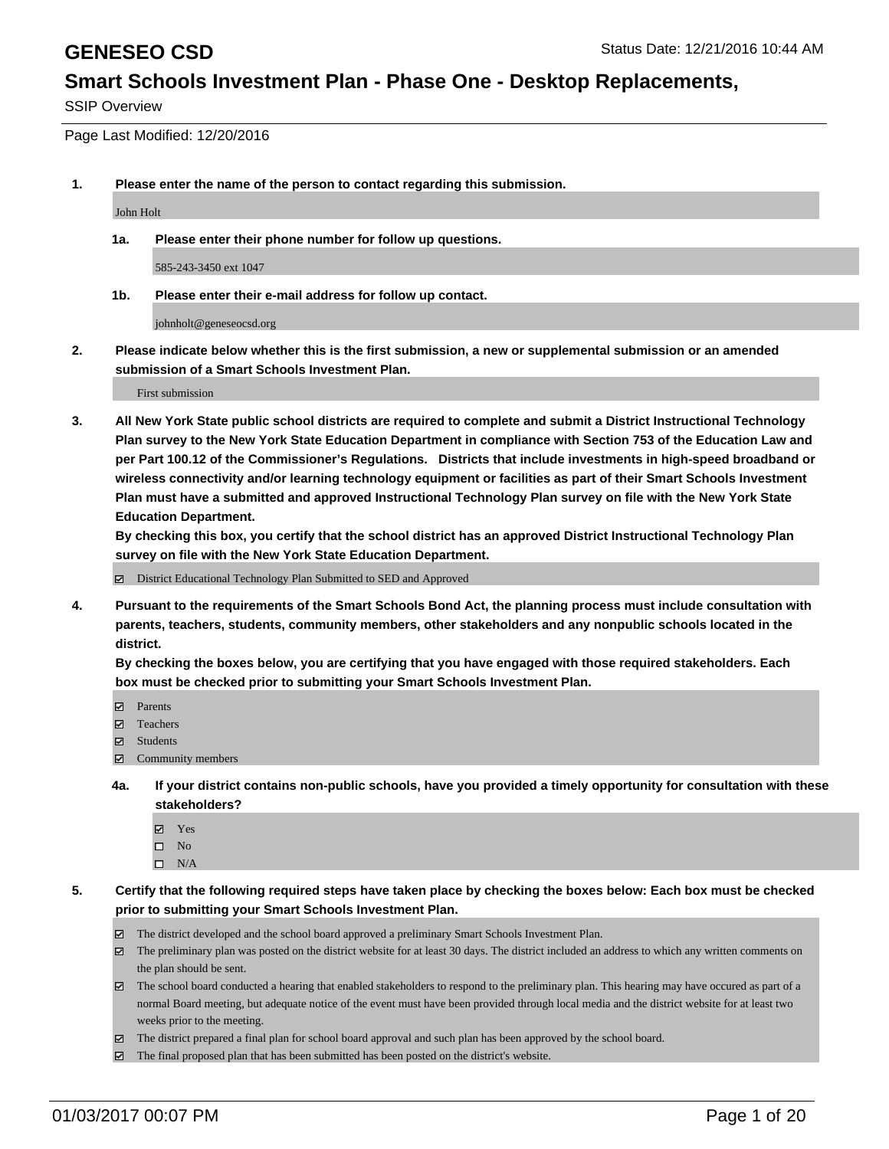SSIP Overview

Page Last Modified: 12/20/2016

**1. Please enter the name of the person to contact regarding this submission.**

John Holt

**1a. Please enter their phone number for follow up questions.**

585-243-3450 ext 1047

**1b. Please enter their e-mail address for follow up contact.**

johnholt@geneseocsd.org

**2. Please indicate below whether this is the first submission, a new or supplemental submission or an amended submission of a Smart Schools Investment Plan.**

First submission

**3. All New York State public school districts are required to complete and submit a District Instructional Technology Plan survey to the New York State Education Department in compliance with Section 753 of the Education Law and per Part 100.12 of the Commissioner's Regulations. Districts that include investments in high-speed broadband or wireless connectivity and/or learning technology equipment or facilities as part of their Smart Schools Investment Plan must have a submitted and approved Instructional Technology Plan survey on file with the New York State Education Department.** 

**By checking this box, you certify that the school district has an approved District Instructional Technology Plan survey on file with the New York State Education Department.**

District Educational Technology Plan Submitted to SED and Approved

**4. Pursuant to the requirements of the Smart Schools Bond Act, the planning process must include consultation with parents, teachers, students, community members, other stakeholders and any nonpublic schools located in the district.** 

**By checking the boxes below, you are certifying that you have engaged with those required stakeholders. Each box must be checked prior to submitting your Smart Schools Investment Plan.**

- **Parents**
- Teachers
- **☑** Students
- Community members
- **4a. If your district contains non-public schools, have you provided a timely opportunity for consultation with these stakeholders?**
	- Yes
	- $\square$  No
	- $\square$  N/A
- **5. Certify that the following required steps have taken place by checking the boxes below: Each box must be checked prior to submitting your Smart Schools Investment Plan.**
	- The district developed and the school board approved a preliminary Smart Schools Investment Plan.
	- The preliminary plan was posted on the district website for at least 30 days. The district included an address to which any written comments on the plan should be sent.
	- The school board conducted a hearing that enabled stakeholders to respond to the preliminary plan. This hearing may have occured as part of a normal Board meeting, but adequate notice of the event must have been provided through local media and the district website for at least two weeks prior to the meeting.
	- The district prepared a final plan for school board approval and such plan has been approved by the school board.
	- $\boxtimes$  The final proposed plan that has been submitted has been posted on the district's website.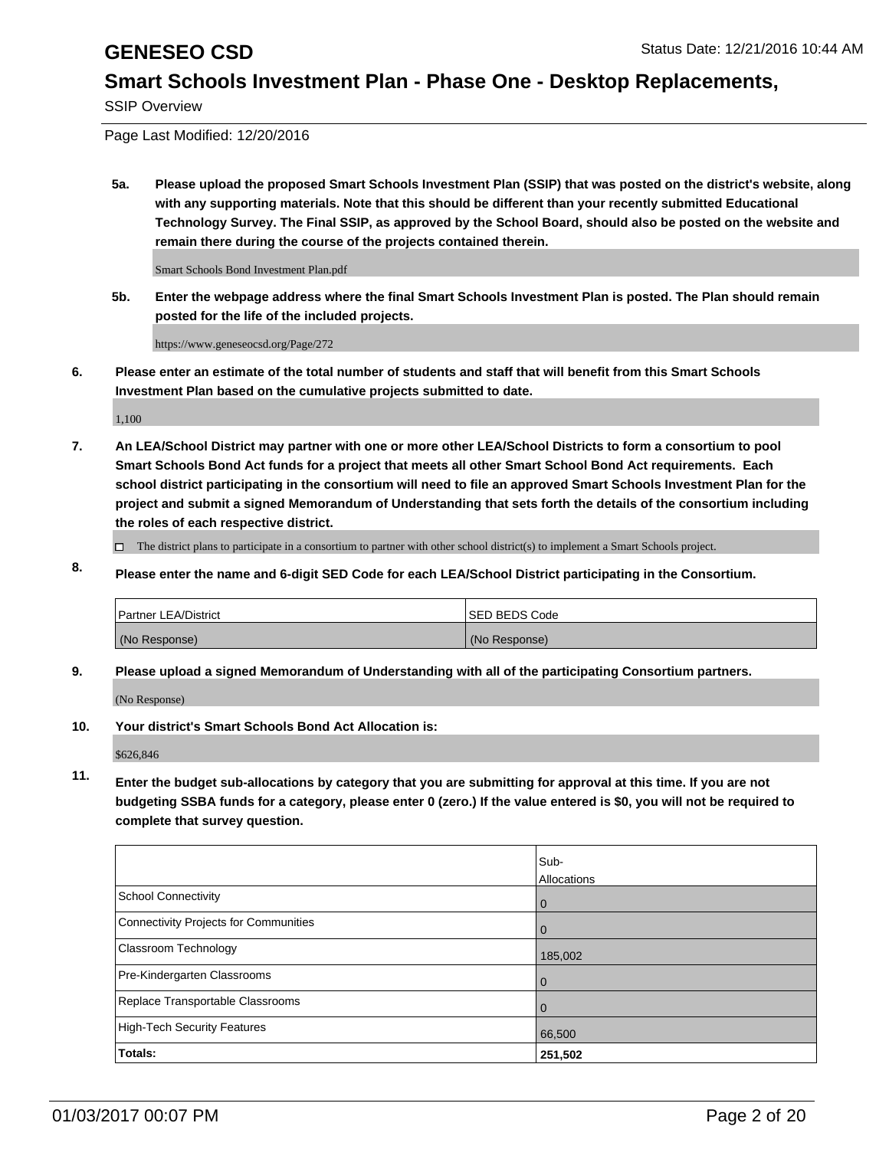SSIP Overview

Page Last Modified: 12/20/2016

**5a. Please upload the proposed Smart Schools Investment Plan (SSIP) that was posted on the district's website, along with any supporting materials. Note that this should be different than your recently submitted Educational Technology Survey. The Final SSIP, as approved by the School Board, should also be posted on the website and remain there during the course of the projects contained therein.**

Smart Schools Bond Investment Plan.pdf

**5b. Enter the webpage address where the final Smart Schools Investment Plan is posted. The Plan should remain posted for the life of the included projects.**

https://www.geneseocsd.org/Page/272

**6. Please enter an estimate of the total number of students and staff that will benefit from this Smart Schools Investment Plan based on the cumulative projects submitted to date.**

1,100

- **7. An LEA/School District may partner with one or more other LEA/School Districts to form a consortium to pool Smart Schools Bond Act funds for a project that meets all other Smart School Bond Act requirements. Each school district participating in the consortium will need to file an approved Smart Schools Investment Plan for the project and submit a signed Memorandum of Understanding that sets forth the details of the consortium including the roles of each respective district.**
	- $\Box$  The district plans to participate in a consortium to partner with other school district(s) to implement a Smart Schools project.
- **8. Please enter the name and 6-digit SED Code for each LEA/School District participating in the Consortium.**

| <b>Partner LEA/District</b> | <b>ISED BEDS Code</b> |
|-----------------------------|-----------------------|
| (No Response)               | (No Response)         |

**9. Please upload a signed Memorandum of Understanding with all of the participating Consortium partners.**

(No Response)

**10. Your district's Smart Schools Bond Act Allocation is:**

\$626,846

**11. Enter the budget sub-allocations by category that you are submitting for approval at this time. If you are not budgeting SSBA funds for a category, please enter 0 (zero.) If the value entered is \$0, you will not be required to complete that survey question.**

|                                       | Sub-         |
|---------------------------------------|--------------|
|                                       | Allocations  |
| School Connectivity                   |              |
| Connectivity Projects for Communities | $\mathbf{O}$ |
| <b>Classroom Technology</b>           | 185,002      |
| Pre-Kindergarten Classrooms           | $\Omega$     |
| Replace Transportable Classrooms      |              |
| High-Tech Security Features           | 66,500       |
| Totals:                               | 251,502      |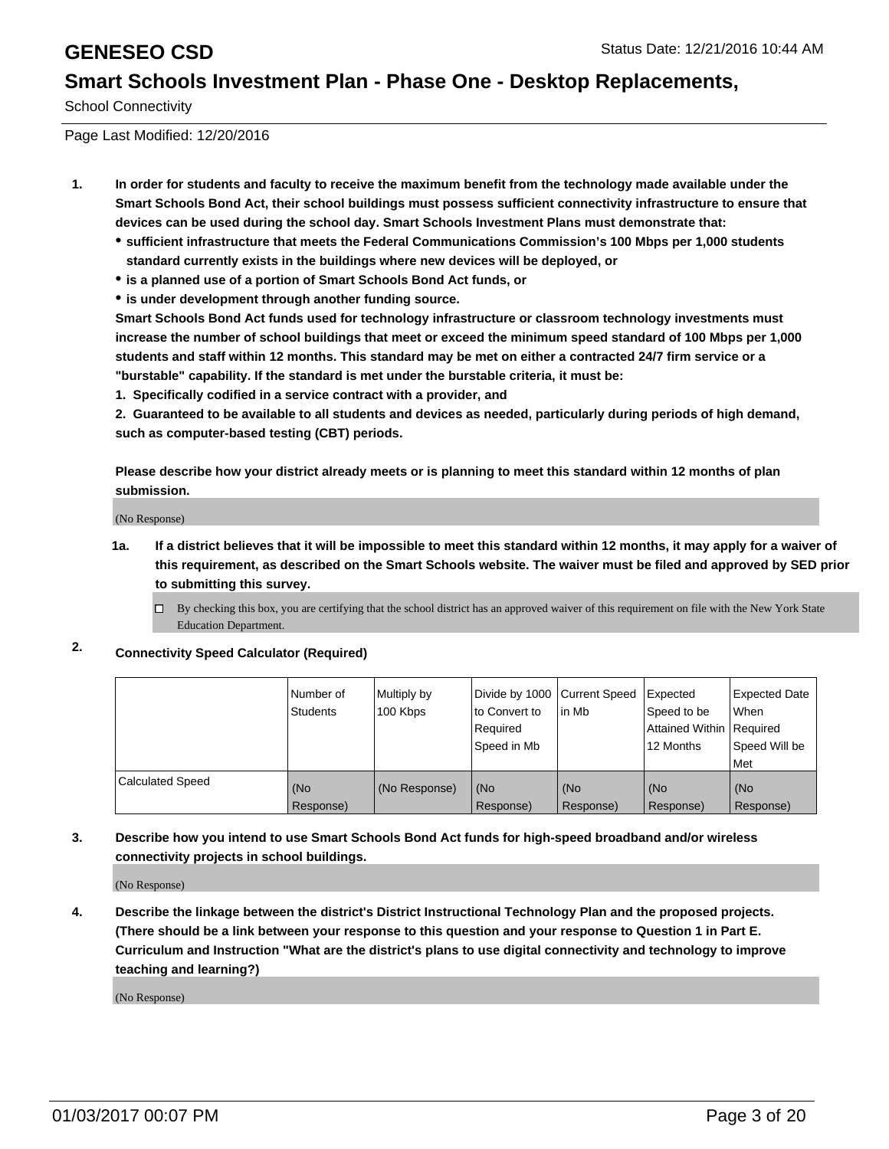School Connectivity

Page Last Modified: 12/20/2016

- **1. In order for students and faculty to receive the maximum benefit from the technology made available under the Smart Schools Bond Act, their school buildings must possess sufficient connectivity infrastructure to ensure that devices can be used during the school day. Smart Schools Investment Plans must demonstrate that:**
	- **sufficient infrastructure that meets the Federal Communications Commission's 100 Mbps per 1,000 students standard currently exists in the buildings where new devices will be deployed, or**
	- **is a planned use of a portion of Smart Schools Bond Act funds, or**
	- **is under development through another funding source.**

**Smart Schools Bond Act funds used for technology infrastructure or classroom technology investments must increase the number of school buildings that meet or exceed the minimum speed standard of 100 Mbps per 1,000 students and staff within 12 months. This standard may be met on either a contracted 24/7 firm service or a "burstable" capability. If the standard is met under the burstable criteria, it must be:**

**1. Specifically codified in a service contract with a provider, and**

**2. Guaranteed to be available to all students and devices as needed, particularly during periods of high demand, such as computer-based testing (CBT) periods.**

**Please describe how your district already meets or is planning to meet this standard within 12 months of plan submission.**

(No Response)

**1a. If a district believes that it will be impossible to meet this standard within 12 months, it may apply for a waiver of this requirement, as described on the Smart Schools website. The waiver must be filed and approved by SED prior to submitting this survey.**

 $\Box$ By checking this box, you are certifying that the school district has an approved waiver of this requirement on file with the New York State Education Department.

**2. Connectivity Speed Calculator (Required)**

|                         | Number of<br>Students | Multiply by<br>100 Kbps | Divide by 1000 Current Speed<br>to Convert to<br>l Reauired<br>Speed in Mb | lin Mb           | Expected<br>Speed to be<br>Attained Within   Required<br>12 Months | Expected Date<br>l When<br>Speed Will be<br>l Met |
|-------------------------|-----------------------|-------------------------|----------------------------------------------------------------------------|------------------|--------------------------------------------------------------------|---------------------------------------------------|
| <b>Calculated Speed</b> | (No<br>Response)      | (No Response)           | (No<br>Response)                                                           | (No<br>Response) | (No<br>Response)                                                   | (No<br>Response)                                  |

**3. Describe how you intend to use Smart Schools Bond Act funds for high-speed broadband and/or wireless connectivity projects in school buildings.**

(No Response)

**4. Describe the linkage between the district's District Instructional Technology Plan and the proposed projects. (There should be a link between your response to this question and your response to Question 1 in Part E. Curriculum and Instruction "What are the district's plans to use digital connectivity and technology to improve teaching and learning?)**

(No Response)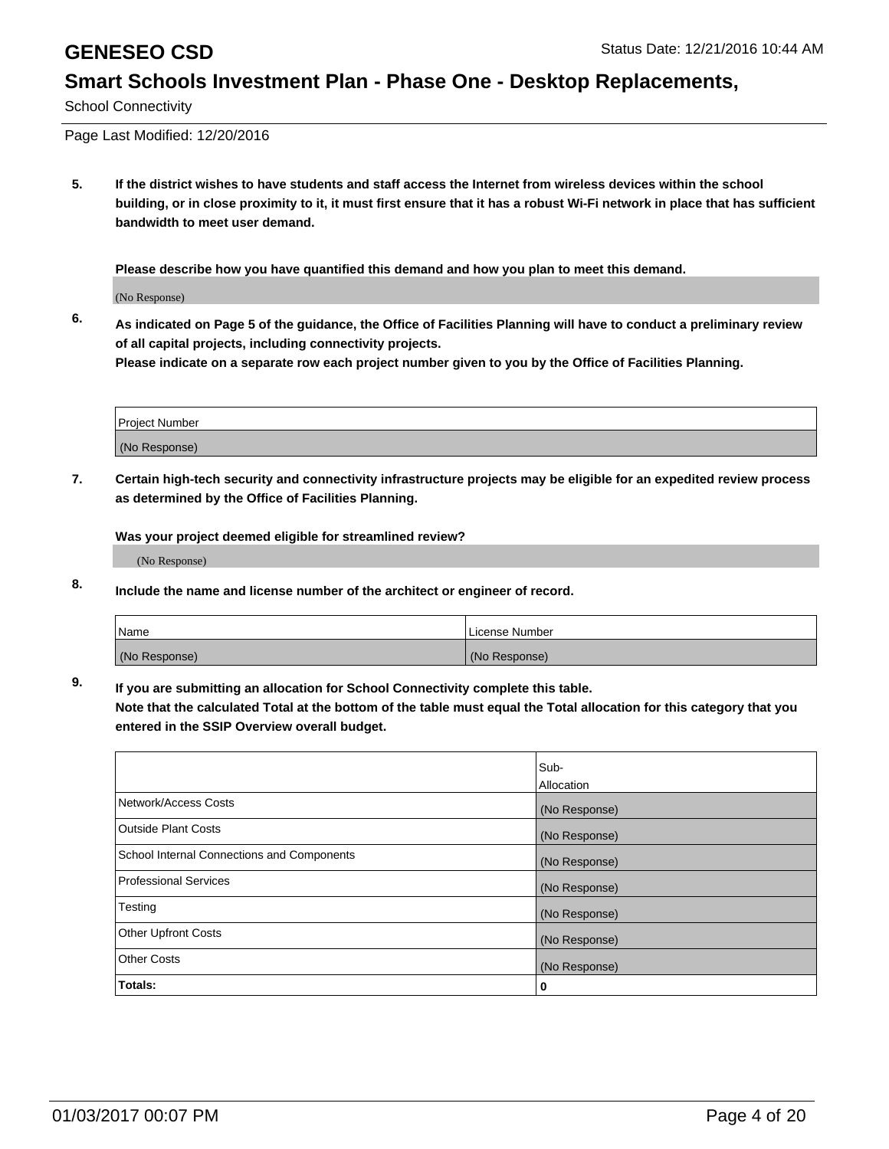School Connectivity

Page Last Modified: 12/20/2016

**5. If the district wishes to have students and staff access the Internet from wireless devices within the school building, or in close proximity to it, it must first ensure that it has a robust Wi-Fi network in place that has sufficient bandwidth to meet user demand.**

**Please describe how you have quantified this demand and how you plan to meet this demand.**

(No Response)

**6. As indicated on Page 5 of the guidance, the Office of Facilities Planning will have to conduct a preliminary review of all capital projects, including connectivity projects.**

**Please indicate on a separate row each project number given to you by the Office of Facilities Planning.**

| Project Number |  |
|----------------|--|
|                |  |
| (No Response)  |  |

**7. Certain high-tech security and connectivity infrastructure projects may be eligible for an expedited review process as determined by the Office of Facilities Planning.**

**Was your project deemed eligible for streamlined review?**

(No Response)

**8. Include the name and license number of the architect or engineer of record.**

| <b>Name</b>   | License Number |
|---------------|----------------|
| (No Response) | (No Response)  |

**9. If you are submitting an allocation for School Connectivity complete this table.**

**Note that the calculated Total at the bottom of the table must equal the Total allocation for this category that you entered in the SSIP Overview overall budget.** 

|                                            | Sub-          |
|--------------------------------------------|---------------|
|                                            | Allocation    |
| Network/Access Costs                       | (No Response) |
| <b>Outside Plant Costs</b>                 | (No Response) |
| School Internal Connections and Components | (No Response) |
| <b>Professional Services</b>               | (No Response) |
| Testing                                    | (No Response) |
| <b>Other Upfront Costs</b>                 | (No Response) |
| <b>Other Costs</b>                         | (No Response) |
| Totals:                                    | 0             |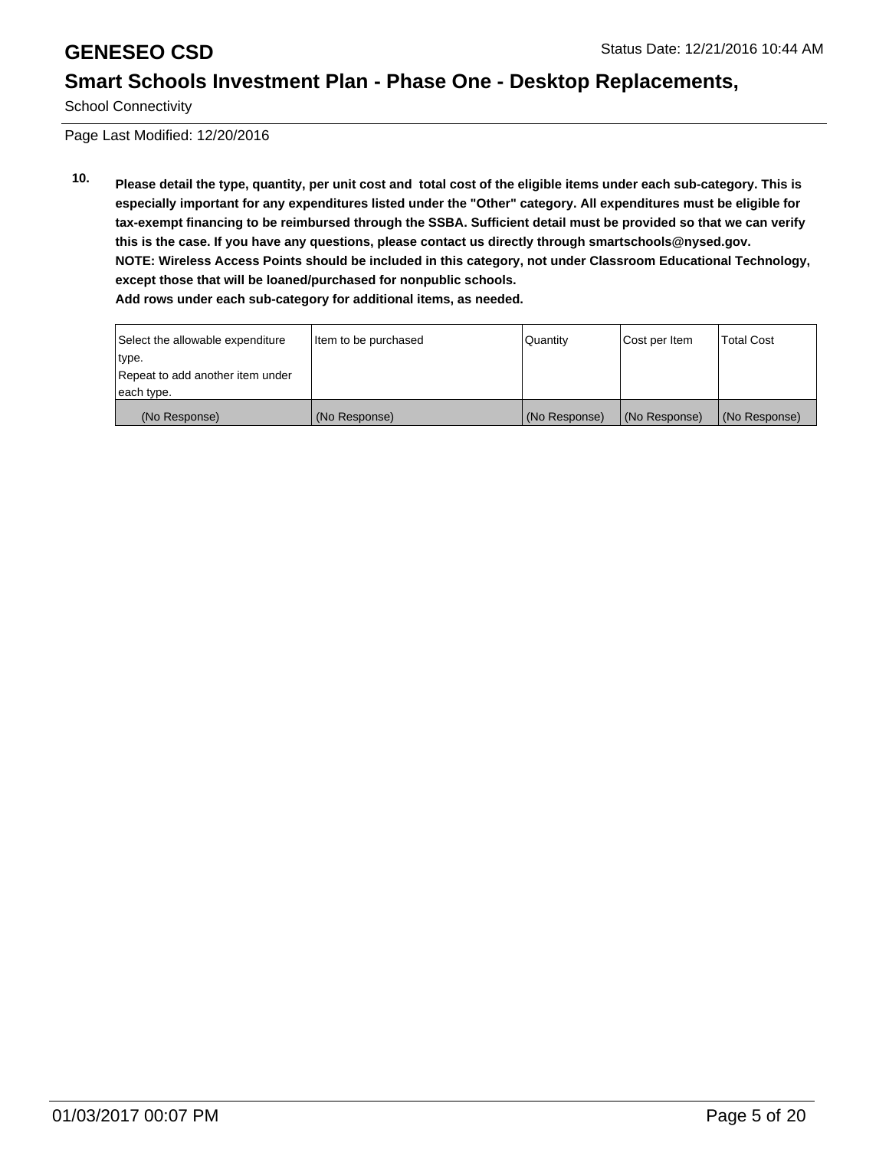School Connectivity

Page Last Modified: 12/20/2016

**10. Please detail the type, quantity, per unit cost and total cost of the eligible items under each sub-category. This is especially important for any expenditures listed under the "Other" category. All expenditures must be eligible for tax-exempt financing to be reimbursed through the SSBA. Sufficient detail must be provided so that we can verify this is the case. If you have any questions, please contact us directly through smartschools@nysed.gov. NOTE: Wireless Access Points should be included in this category, not under Classroom Educational Technology, except those that will be loaned/purchased for nonpublic schools. Add rows under each sub-category for additional items, as needed.**

| Select the allowable expenditure | Item to be purchased | <b>Quantity</b> | Cost per Item | <b>Total Cost</b> |
|----------------------------------|----------------------|-----------------|---------------|-------------------|
| type.                            |                      |                 |               |                   |
| Repeat to add another item under |                      |                 |               |                   |
| each type.                       |                      |                 |               |                   |
| (No Response)                    | (No Response)        | (No Response)   | (No Response) | (No Response)     |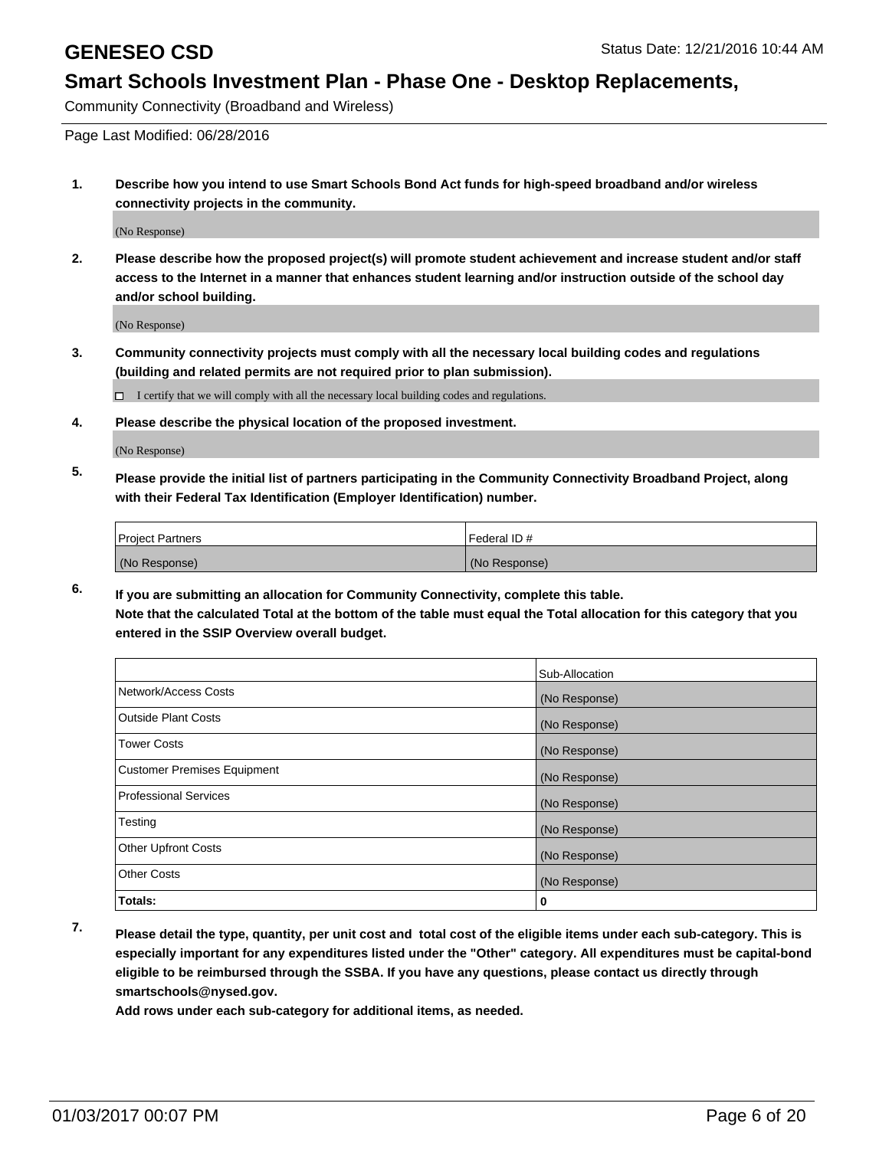Community Connectivity (Broadband and Wireless)

Page Last Modified: 06/28/2016

**1. Describe how you intend to use Smart Schools Bond Act funds for high-speed broadband and/or wireless connectivity projects in the community.**

(No Response)

**2. Please describe how the proposed project(s) will promote student achievement and increase student and/or staff access to the Internet in a manner that enhances student learning and/or instruction outside of the school day and/or school building.**

(No Response)

**3. Community connectivity projects must comply with all the necessary local building codes and regulations (building and related permits are not required prior to plan submission).**

 $\Box$  I certify that we will comply with all the necessary local building codes and regulations.

**4. Please describe the physical location of the proposed investment.**

(No Response)

**5. Please provide the initial list of partners participating in the Community Connectivity Broadband Project, along with their Federal Tax Identification (Employer Identification) number.**

| <b>Project Partners</b> | Federal ID #  |
|-------------------------|---------------|
| (No Response)           | (No Response) |

**6. If you are submitting an allocation for Community Connectivity, complete this table. Note that the calculated Total at the bottom of the table must equal the Total allocation for this category that you entered in the SSIP Overview overall budget.**

|                                    | Sub-Allocation |
|------------------------------------|----------------|
|                                    |                |
| Network/Access Costs               | (No Response)  |
| <b>Outside Plant Costs</b>         | (No Response)  |
| <b>Tower Costs</b>                 | (No Response)  |
| <b>Customer Premises Equipment</b> | (No Response)  |
| <b>Professional Services</b>       | (No Response)  |
| Testing                            | (No Response)  |
| <b>Other Upfront Costs</b>         | (No Response)  |
| <b>Other Costs</b>                 | (No Response)  |
| Totals:                            | 0              |

**7. Please detail the type, quantity, per unit cost and total cost of the eligible items under each sub-category. This is especially important for any expenditures listed under the "Other" category. All expenditures must be capital-bond eligible to be reimbursed through the SSBA. If you have any questions, please contact us directly through smartschools@nysed.gov.**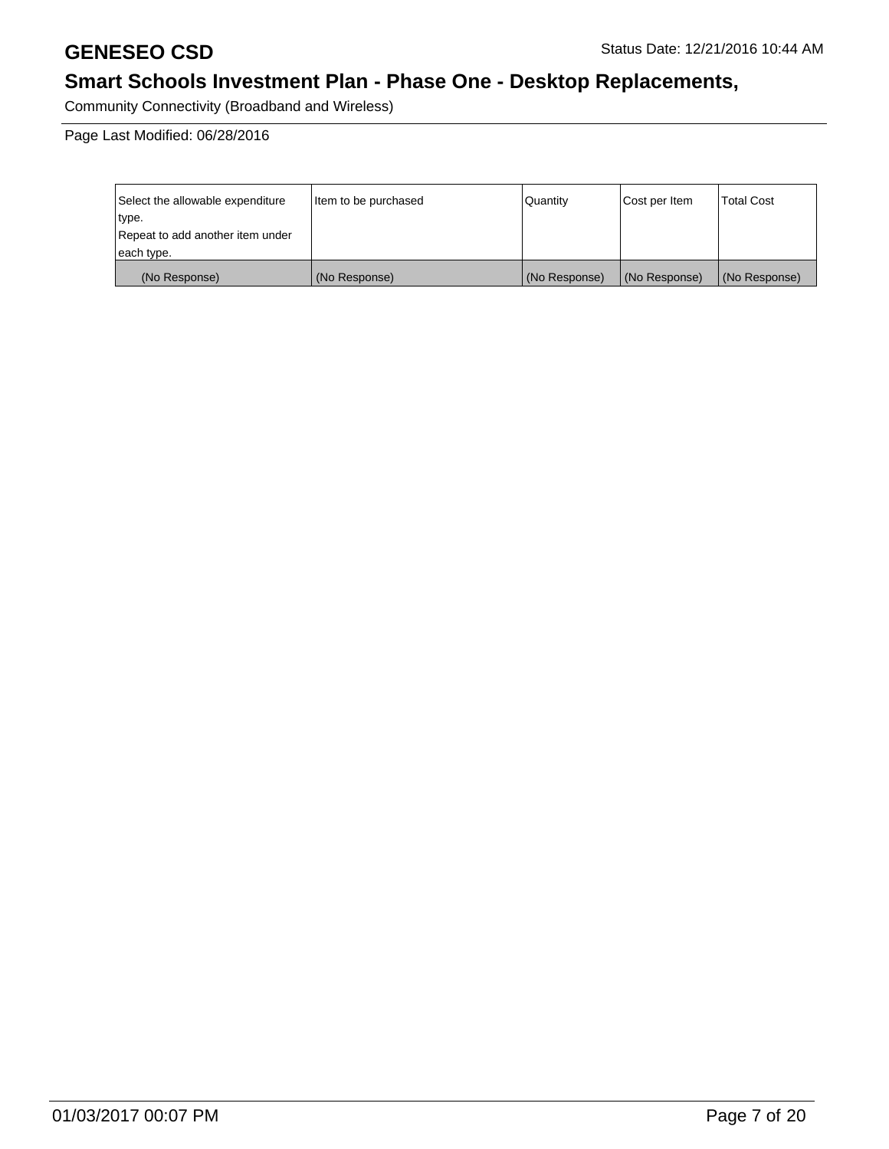Community Connectivity (Broadband and Wireless)

Page Last Modified: 06/28/2016

| Select the allowable expenditure | litem to be purchased | Quantity      | Cost per Item | <b>Total Cost</b> |
|----------------------------------|-----------------------|---------------|---------------|-------------------|
| type.                            |                       |               |               |                   |
| Repeat to add another item under |                       |               |               |                   |
| each type.                       |                       |               |               |                   |
| (No Response)                    | (No Response)         | (No Response) | (No Response) | (No Response)     |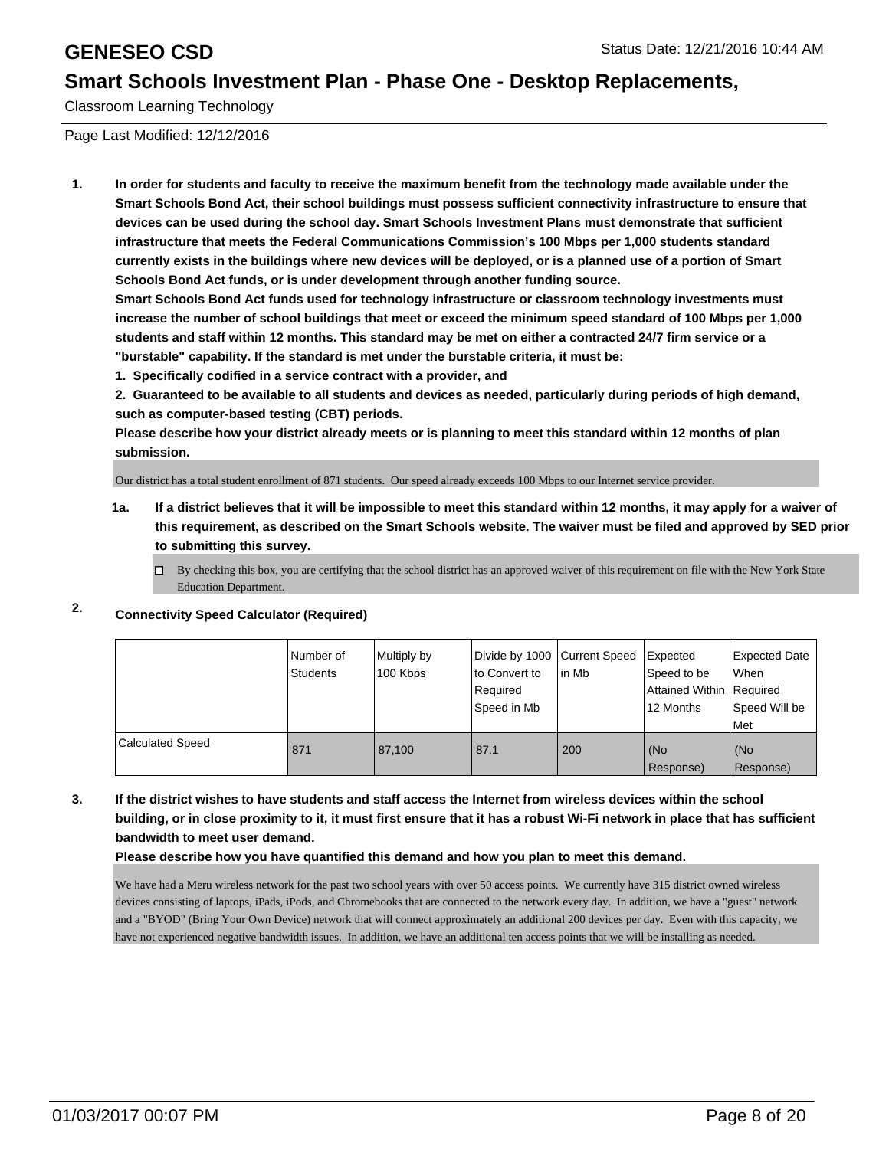Classroom Learning Technology

Page Last Modified: 12/12/2016

**1. In order for students and faculty to receive the maximum benefit from the technology made available under the Smart Schools Bond Act, their school buildings must possess sufficient connectivity infrastructure to ensure that devices can be used during the school day. Smart Schools Investment Plans must demonstrate that sufficient infrastructure that meets the Federal Communications Commission's 100 Mbps per 1,000 students standard currently exists in the buildings where new devices will be deployed, or is a planned use of a portion of Smart Schools Bond Act funds, or is under development through another funding source.**

**Smart Schools Bond Act funds used for technology infrastructure or classroom technology investments must increase the number of school buildings that meet or exceed the minimum speed standard of 100 Mbps per 1,000 students and staff within 12 months. This standard may be met on either a contracted 24/7 firm service or a "burstable" capability. If the standard is met under the burstable criteria, it must be:**

**1. Specifically codified in a service contract with a provider, and**

**2. Guaranteed to be available to all students and devices as needed, particularly during periods of high demand, such as computer-based testing (CBT) periods.**

**Please describe how your district already meets or is planning to meet this standard within 12 months of plan submission.**

Our district has a total student enrollment of 871 students. Our speed already exceeds 100 Mbps to our Internet service provider.

- **1a. If a district believes that it will be impossible to meet this standard within 12 months, it may apply for a waiver of this requirement, as described on the Smart Schools website. The waiver must be filed and approved by SED prior to submitting this survey.**
	- $\Box$  By checking this box, you are certifying that the school district has an approved waiver of this requirement on file with the New York State Education Department.
- **2. Connectivity Speed Calculator (Required)**

|                         | l Number of<br>Students | Multiply by<br>100 Kbps | Divide by 1000 Current Speed<br>Ito Convert to<br>Required<br>Speed in Mb | lin Mb | Expected<br>Speed to be<br>Attained Within   Required<br>12 Months | <b>Expected Date</b><br><b>When</b><br>Speed Will be<br><b>Met</b> |
|-------------------------|-------------------------|-------------------------|---------------------------------------------------------------------------|--------|--------------------------------------------------------------------|--------------------------------------------------------------------|
| <b>Calculated Speed</b> | 871                     | 87.100                  | 87.1                                                                      | 200    | (No<br>Response)                                                   | l (No<br>Response)                                                 |

**3. If the district wishes to have students and staff access the Internet from wireless devices within the school building, or in close proximity to it, it must first ensure that it has a robust Wi-Fi network in place that has sufficient bandwidth to meet user demand.**

**Please describe how you have quantified this demand and how you plan to meet this demand.**

We have had a Meru wireless network for the past two school years with over 50 access points. We currently have 315 district owned wireless devices consisting of laptops, iPads, iPods, and Chromebooks that are connected to the network every day. In addition, we have a "guest" network and a "BYOD" (Bring Your Own Device) network that will connect approximately an additional 200 devices per day. Even with this capacity, we have not experienced negative bandwidth issues. In addition, we have an additional ten access points that we will be installing as needed.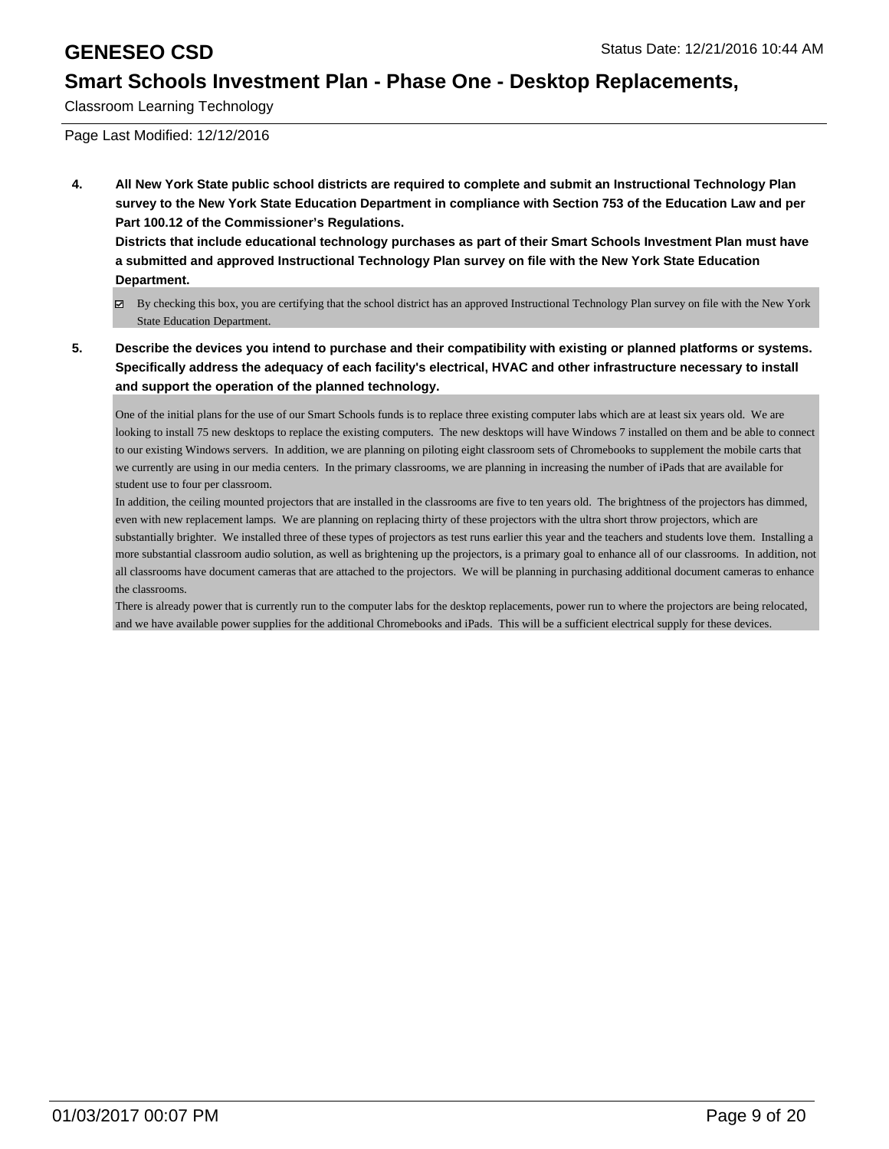Classroom Learning Technology

Page Last Modified: 12/12/2016

**4. All New York State public school districts are required to complete and submit an Instructional Technology Plan survey to the New York State Education Department in compliance with Section 753 of the Education Law and per Part 100.12 of the Commissioner's Regulations.**

**Districts that include educational technology purchases as part of their Smart Schools Investment Plan must have a submitted and approved Instructional Technology Plan survey on file with the New York State Education Department.**

- By checking this box, you are certifying that the school district has an approved Instructional Technology Plan survey on file with the New York State Education Department.
- **5. Describe the devices you intend to purchase and their compatibility with existing or planned platforms or systems. Specifically address the adequacy of each facility's electrical, HVAC and other infrastructure necessary to install and support the operation of the planned technology.**

One of the initial plans for the use of our Smart Schools funds is to replace three existing computer labs which are at least six years old. We are looking to install 75 new desktops to replace the existing computers. The new desktops will have Windows 7 installed on them and be able to connect to our existing Windows servers. In addition, we are planning on piloting eight classroom sets of Chromebooks to supplement the mobile carts that we currently are using in our media centers. In the primary classrooms, we are planning in increasing the number of iPads that are available for student use to four per classroom.

In addition, the ceiling mounted projectors that are installed in the classrooms are five to ten years old. The brightness of the projectors has dimmed, even with new replacement lamps. We are planning on replacing thirty of these projectors with the ultra short throw projectors, which are substantially brighter. We installed three of these types of projectors as test runs earlier this year and the teachers and students love them. Installing a more substantial classroom audio solution, as well as brightening up the projectors, is a primary goal to enhance all of our classrooms. In addition, not all classrooms have document cameras that are attached to the projectors. We will be planning in purchasing additional document cameras to enhance the classrooms.

There is already power that is currently run to the computer labs for the desktop replacements, power run to where the projectors are being relocated, and we have available power supplies for the additional Chromebooks and iPads. This will be a sufficient electrical supply for these devices.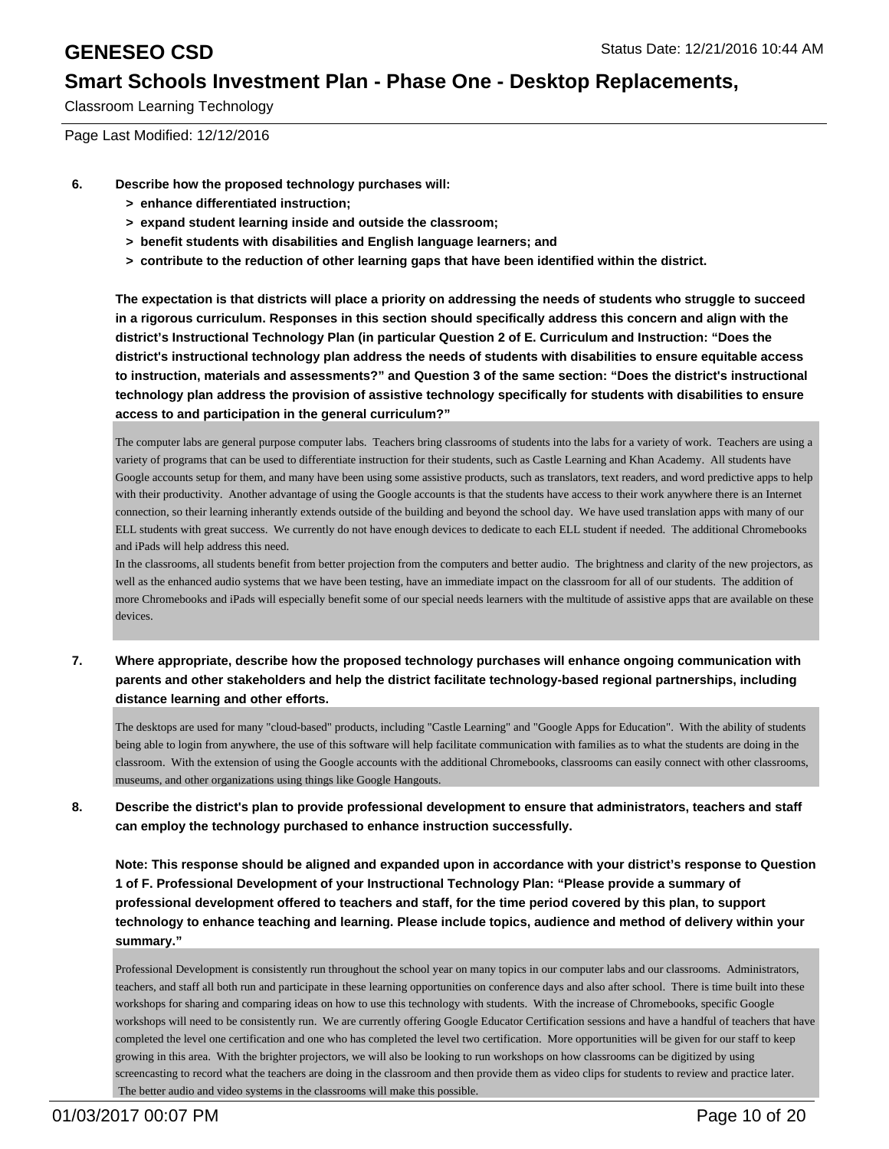Classroom Learning Technology

Page Last Modified: 12/12/2016

- **6. Describe how the proposed technology purchases will:**
	- **> enhance differentiated instruction;**
	- **> expand student learning inside and outside the classroom;**
	- **> benefit students with disabilities and English language learners; and**
	- **> contribute to the reduction of other learning gaps that have been identified within the district.**

**The expectation is that districts will place a priority on addressing the needs of students who struggle to succeed in a rigorous curriculum. Responses in this section should specifically address this concern and align with the district's Instructional Technology Plan (in particular Question 2 of E. Curriculum and Instruction: "Does the district's instructional technology plan address the needs of students with disabilities to ensure equitable access to instruction, materials and assessments?" and Question 3 of the same section: "Does the district's instructional technology plan address the provision of assistive technology specifically for students with disabilities to ensure access to and participation in the general curriculum?"**

The computer labs are general purpose computer labs. Teachers bring classrooms of students into the labs for a variety of work. Teachers are using a variety of programs that can be used to differentiate instruction for their students, such as Castle Learning and Khan Academy. All students have Google accounts setup for them, and many have been using some assistive products, such as translators, text readers, and word predictive apps to help with their productivity. Another advantage of using the Google accounts is that the students have access to their work anywhere there is an Internet connection, so their learning inherantly extends outside of the building and beyond the school day. We have used translation apps with many of our ELL students with great success. We currently do not have enough devices to dedicate to each ELL student if needed. The additional Chromebooks and iPads will help address this need.

In the classrooms, all students benefit from better projection from the computers and better audio. The brightness and clarity of the new projectors, as well as the enhanced audio systems that we have been testing, have an immediate impact on the classroom for all of our students. The addition of more Chromebooks and iPads will especially benefit some of our special needs learners with the multitude of assistive apps that are available on these devices.

**7. Where appropriate, describe how the proposed technology purchases will enhance ongoing communication with parents and other stakeholders and help the district facilitate technology-based regional partnerships, including distance learning and other efforts.**

The desktops are used for many "cloud-based" products, including "Castle Learning" and "Google Apps for Education". With the ability of students being able to login from anywhere, the use of this software will help facilitate communication with families as to what the students are doing in the classroom. With the extension of using the Google accounts with the additional Chromebooks, classrooms can easily connect with other classrooms, museums, and other organizations using things like Google Hangouts.

**8. Describe the district's plan to provide professional development to ensure that administrators, teachers and staff can employ the technology purchased to enhance instruction successfully.**

**Note: This response should be aligned and expanded upon in accordance with your district's response to Question 1 of F. Professional Development of your Instructional Technology Plan: "Please provide a summary of professional development offered to teachers and staff, for the time period covered by this plan, to support technology to enhance teaching and learning. Please include topics, audience and method of delivery within your summary."**

Professional Development is consistently run throughout the school year on many topics in our computer labs and our classrooms. Administrators, teachers, and staff all both run and participate in these learning opportunities on conference days and also after school. There is time built into these workshops for sharing and comparing ideas on how to use this technology with students. With the increase of Chromebooks, specific Google workshops will need to be consistently run. We are currently offering Google Educator Certification sessions and have a handful of teachers that have completed the level one certification and one who has completed the level two certification. More opportunities will be given for our staff to keep growing in this area. With the brighter projectors, we will also be looking to run workshops on how classrooms can be digitized by using screencasting to record what the teachers are doing in the classroom and then provide them as video clips for students to review and practice later. The better audio and video systems in the classrooms will make this possible.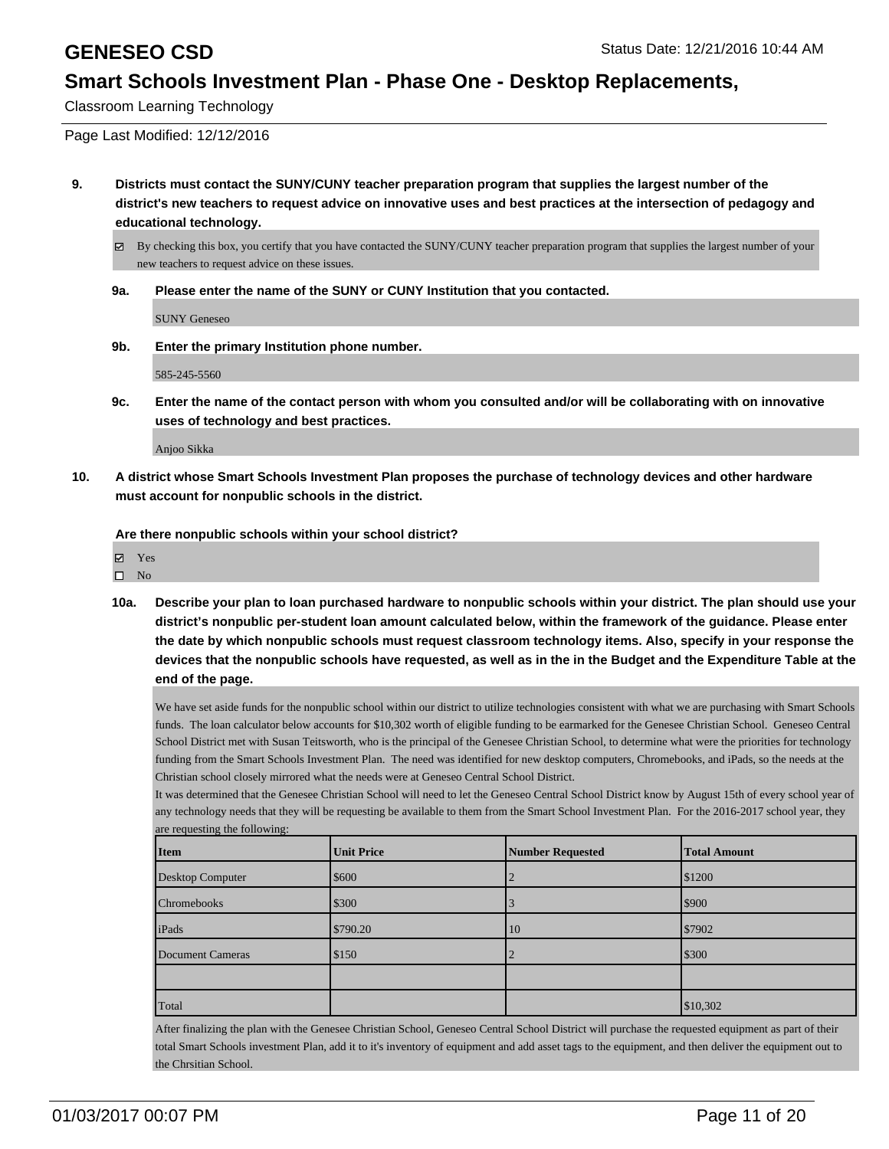Classroom Learning Technology

Page Last Modified: 12/12/2016

**9. Districts must contact the SUNY/CUNY teacher preparation program that supplies the largest number of the district's new teachers to request advice on innovative uses and best practices at the intersection of pedagogy and educational technology.**

By checking this box, you certify that you have contacted the SUNY/CUNY teacher preparation program that supplies the largest number of your new teachers to request advice on these issues.

**9a. Please enter the name of the SUNY or CUNY Institution that you contacted.**

SUNY Geneseo

**9b. Enter the primary Institution phone number.**

585-245-5560

**9c. Enter the name of the contact person with whom you consulted and/or will be collaborating with on innovative uses of technology and best practices.**

Anjoo Sikka

**10. A district whose Smart Schools Investment Plan proposes the purchase of technology devices and other hardware must account for nonpublic schools in the district.**

**Are there nonpublic schools within your school district?**

| ⊽ | Y<br>es |
|---|---------|
|   |         |

- $\Box$  No
- **10a. Describe your plan to loan purchased hardware to nonpublic schools within your district. The plan should use your district's nonpublic per-student loan amount calculated below, within the framework of the guidance. Please enter the date by which nonpublic schools must request classroom technology items. Also, specify in your response the devices that the nonpublic schools have requested, as well as in the in the Budget and the Expenditure Table at the end of the page.**

We have set aside funds for the nonpublic school within our district to utilize technologies consistent with what we are purchasing with Smart Schools funds. The loan calculator below accounts for \$10,302 worth of eligible funding to be earmarked for the Genesee Christian School. Geneseo Central School District met with Susan Teitsworth, who is the principal of the Genesee Christian School, to determine what were the priorities for technology funding from the Smart Schools Investment Plan. The need was identified for new desktop computers, Chromebooks, and iPads, so the needs at the Christian school closely mirrored what the needs were at Geneseo Central School District.

It was determined that the Genesee Christian School will need to let the Geneseo Central School District know by August 15th of every school year of any technology needs that they will be requesting be available to them from the Smart School Investment Plan. For the 2016-2017 school year, they are requesting the following:

| Item             | <b>Unit Price</b> | <b>Number Requested</b> | <b>Total Amount</b> |
|------------------|-------------------|-------------------------|---------------------|
| Desktop Computer | \$600             |                         | \$1200              |
| Chromebooks      | \$300             |                         | \$900               |
| iPads            | \$790.20          | 10                      | \$7902              |
| Document Cameras | \$150             |                         | \$300               |
|                  |                   |                         |                     |
| Total            |                   |                         | \$10,302            |

After finalizing the plan with the Genesee Christian School, Geneseo Central School District will purchase the requested equipment as part of their total Smart Schools investment Plan, add it to it's inventory of equipment and add asset tags to the equipment, and then deliver the equipment out to the Chrsitian School.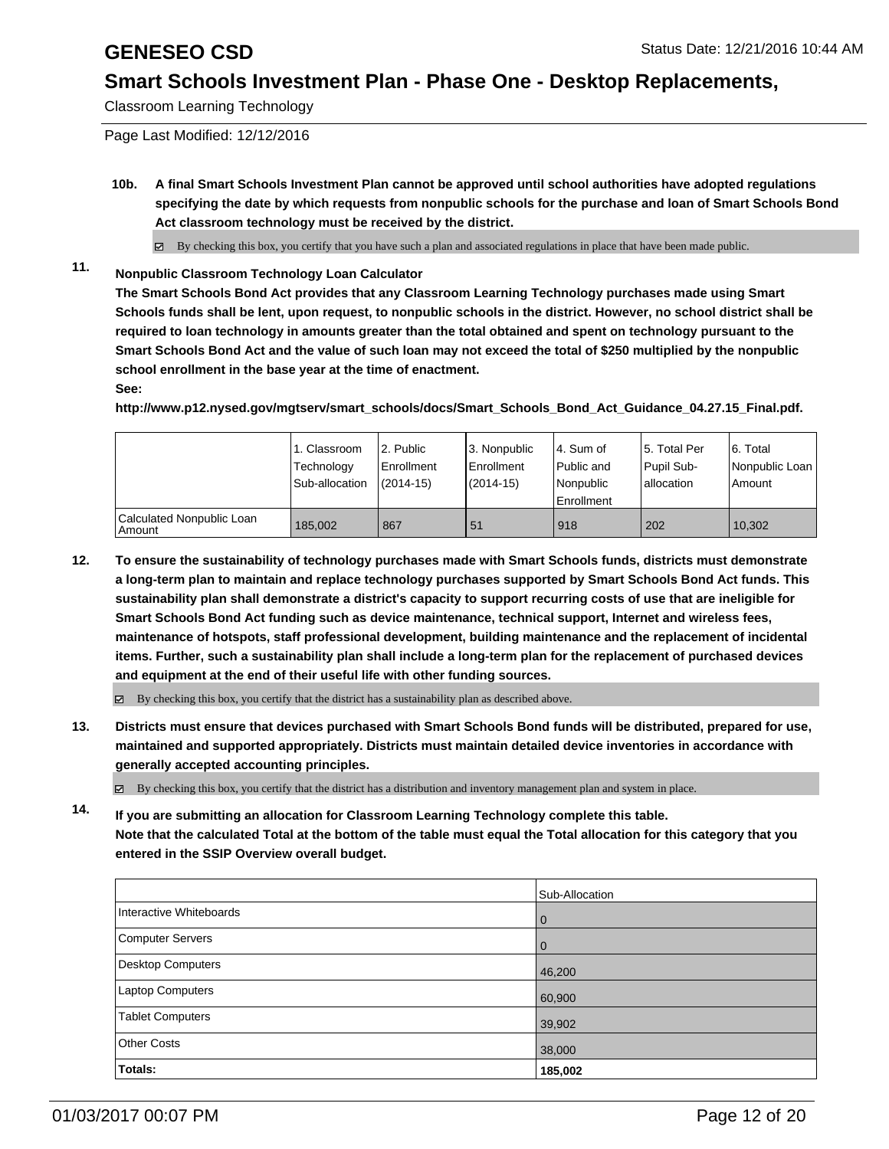Classroom Learning Technology

Page Last Modified: 12/12/2016

**10b. A final Smart Schools Investment Plan cannot be approved until school authorities have adopted regulations specifying the date by which requests from nonpublic schools for the purchase and loan of Smart Schools Bond Act classroom technology must be received by the district.**

 $\boxtimes$  By checking this box, you certify that you have such a plan and associated regulations in place that have been made public.

**11. Nonpublic Classroom Technology Loan Calculator**

**The Smart Schools Bond Act provides that any Classroom Learning Technology purchases made using Smart Schools funds shall be lent, upon request, to nonpublic schools in the district. However, no school district shall be required to loan technology in amounts greater than the total obtained and spent on technology pursuant to the Smart Schools Bond Act and the value of such loan may not exceed the total of \$250 multiplied by the nonpublic school enrollment in the base year at the time of enactment. See:**

**http://www.p12.nysed.gov/mgtserv/smart\_schools/docs/Smart\_Schools\_Bond\_Act\_Guidance\_04.27.15\_Final.pdf.**

|                                     | 1. Classroom<br>Technology<br>Sub-allocation | 2. Public<br><b>Enrollment</b><br>$(2014-15)$ | 3. Nonpublic<br>Enrollment<br>$(2014 - 15)$ | l 4. Sum of<br>l Public and<br>l Nonpublic<br>Enrollment | 15. Total Per<br>Pupil Sub-<br>lallocation | 6. Total<br>Nonpublic Loan<br>Amount |
|-------------------------------------|----------------------------------------------|-----------------------------------------------|---------------------------------------------|----------------------------------------------------------|--------------------------------------------|--------------------------------------|
| Calculated Nonpublic Loan<br>Amount | 185.002                                      | 867                                           | 51                                          | 918                                                      | 202                                        | 10,302                               |

- **12. To ensure the sustainability of technology purchases made with Smart Schools funds, districts must demonstrate a long-term plan to maintain and replace technology purchases supported by Smart Schools Bond Act funds. This sustainability plan shall demonstrate a district's capacity to support recurring costs of use that are ineligible for Smart Schools Bond Act funding such as device maintenance, technical support, Internet and wireless fees, maintenance of hotspots, staff professional development, building maintenance and the replacement of incidental items. Further, such a sustainability plan shall include a long-term plan for the replacement of purchased devices and equipment at the end of their useful life with other funding sources.**
	- $\boxtimes$  By checking this box, you certify that the district has a sustainability plan as described above.
- **13. Districts must ensure that devices purchased with Smart Schools Bond funds will be distributed, prepared for use, maintained and supported appropriately. Districts must maintain detailed device inventories in accordance with generally accepted accounting principles.**

By checking this box, you certify that the district has a distribution and inventory management plan and system in place.

**14. If you are submitting an allocation for Classroom Learning Technology complete this table. Note that the calculated Total at the bottom of the table must equal the Total allocation for this category that you entered in the SSIP Overview overall budget.**

|                          | Sub-Allocation |
|--------------------------|----------------|
| Interactive Whiteboards  | $\mathbf 0$    |
| Computer Servers         | $\mathbf 0$    |
| <b>Desktop Computers</b> | 46,200         |
| <b>Laptop Computers</b>  | 60,900         |
| Tablet Computers         | 39,902         |
| <b>Other Costs</b>       | 38,000         |
| Totals:                  | 185,002        |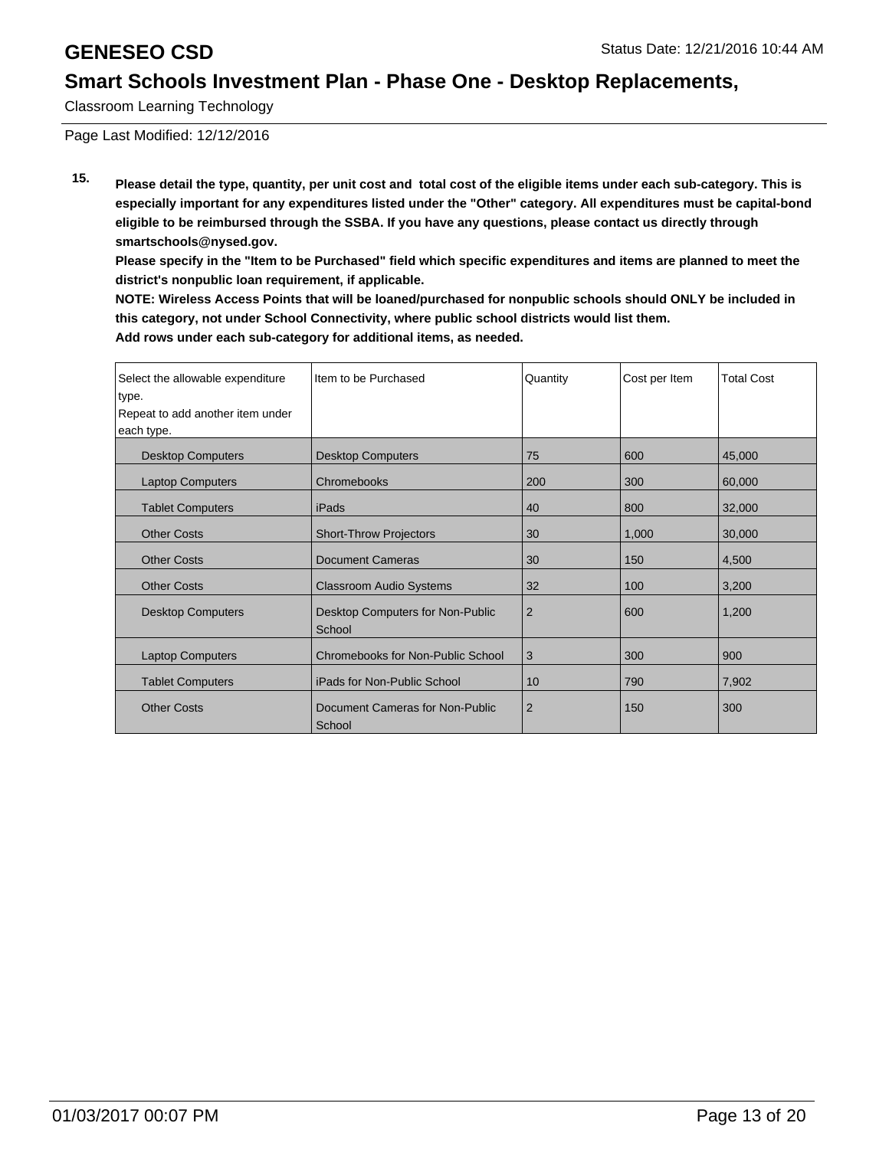Classroom Learning Technology

Page Last Modified: 12/12/2016

**15. Please detail the type, quantity, per unit cost and total cost of the eligible items under each sub-category. This is especially important for any expenditures listed under the "Other" category. All expenditures must be capital-bond eligible to be reimbursed through the SSBA. If you have any questions, please contact us directly through smartschools@nysed.gov.**

**Please specify in the "Item to be Purchased" field which specific expenditures and items are planned to meet the district's nonpublic loan requirement, if applicable.**

**NOTE: Wireless Access Points that will be loaned/purchased for nonpublic schools should ONLY be included in this category, not under School Connectivity, where public school districts would list them. Add rows under each sub-category for additional items, as needed.**

| Select the allowable expenditure<br>type.<br>Repeat to add another item under | I Item to be Purchased                     | Quantity       | Cost per Item | <b>Total Cost</b> |
|-------------------------------------------------------------------------------|--------------------------------------------|----------------|---------------|-------------------|
| each type.                                                                    |                                            |                |               |                   |
| <b>Desktop Computers</b>                                                      | <b>Desktop Computers</b>                   | 75             | 600           | 45,000            |
| <b>Laptop Computers</b>                                                       | Chromebooks                                | 200            | 300           | 60,000            |
| <b>Tablet Computers</b>                                                       | iPads                                      | 40             | 800           | 32,000            |
| <b>Other Costs</b>                                                            | <b>Short-Throw Projectors</b>              | 30             | 1,000         | 30,000            |
| <b>Other Costs</b>                                                            | <b>Document Cameras</b>                    | 30             | 150           | 4,500             |
| <b>Other Costs</b>                                                            | <b>Classroom Audio Systems</b>             | 32             | 100           | 3,200             |
| <b>Desktop Computers</b>                                                      | Desktop Computers for Non-Public<br>School | $\overline{2}$ | 600           | 1,200             |
| <b>Laptop Computers</b>                                                       | Chromebooks for Non-Public School          | 3              | 300           | 900               |
| <b>Tablet Computers</b>                                                       | iPads for Non-Public School                | 10             | 790           | 7,902             |
| <b>Other Costs</b>                                                            | Document Cameras for Non-Public<br>School  | $\overline{2}$ | 150           | 300               |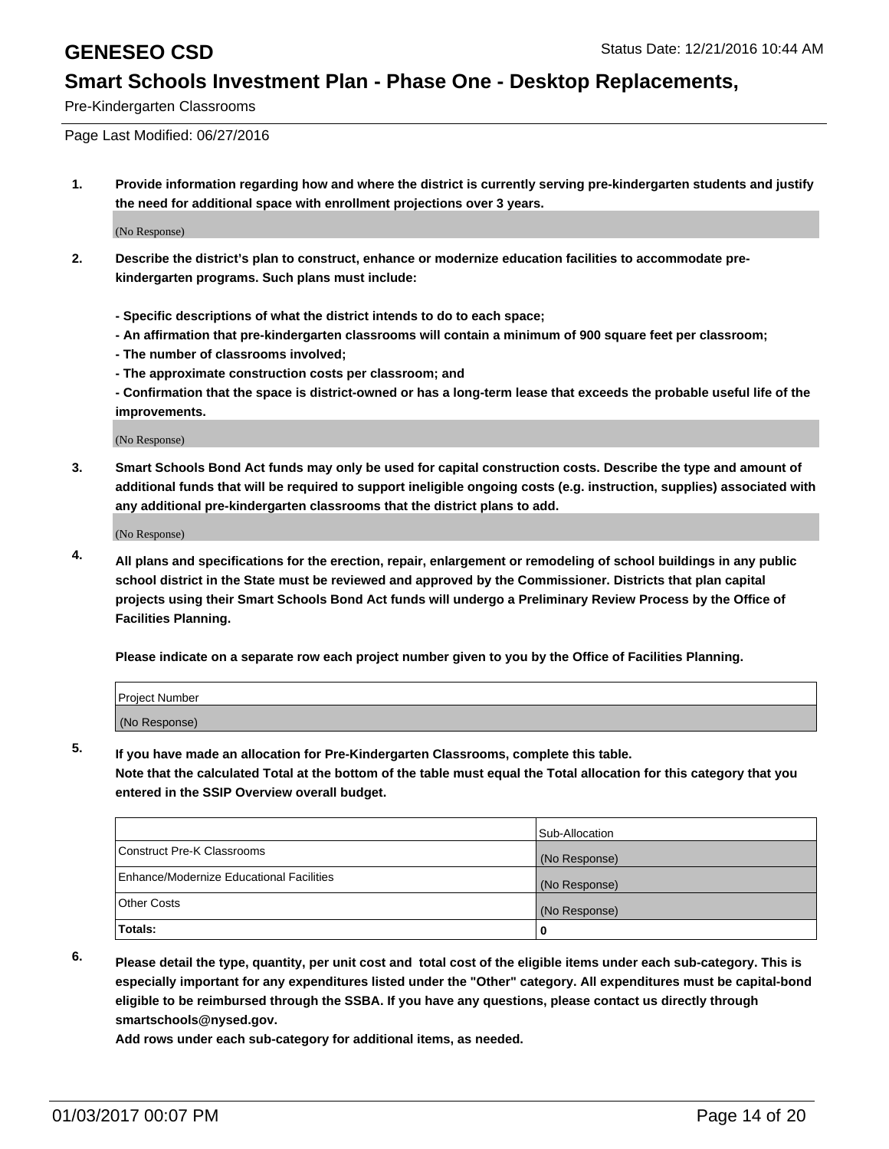Pre-Kindergarten Classrooms

Page Last Modified: 06/27/2016

**1. Provide information regarding how and where the district is currently serving pre-kindergarten students and justify the need for additional space with enrollment projections over 3 years.**

(No Response)

- **2. Describe the district's plan to construct, enhance or modernize education facilities to accommodate prekindergarten programs. Such plans must include:**
	- **Specific descriptions of what the district intends to do to each space;**
	- **An affirmation that pre-kindergarten classrooms will contain a minimum of 900 square feet per classroom;**
	- **The number of classrooms involved;**
	- **The approximate construction costs per classroom; and**
	- **Confirmation that the space is district-owned or has a long-term lease that exceeds the probable useful life of the improvements.**

(No Response)

**3. Smart Schools Bond Act funds may only be used for capital construction costs. Describe the type and amount of additional funds that will be required to support ineligible ongoing costs (e.g. instruction, supplies) associated with any additional pre-kindergarten classrooms that the district plans to add.**

(No Response)

**4. All plans and specifications for the erection, repair, enlargement or remodeling of school buildings in any public school district in the State must be reviewed and approved by the Commissioner. Districts that plan capital projects using their Smart Schools Bond Act funds will undergo a Preliminary Review Process by the Office of Facilities Planning.**

**Please indicate on a separate row each project number given to you by the Office of Facilities Planning.**

| Project Number |  |  |
|----------------|--|--|
| (No Response)  |  |  |

**5. If you have made an allocation for Pre-Kindergarten Classrooms, complete this table.**

**Note that the calculated Total at the bottom of the table must equal the Total allocation for this category that you entered in the SSIP Overview overall budget.**

|                                          | Sub-Allocation |
|------------------------------------------|----------------|
| Construct Pre-K Classrooms               | (No Response)  |
| Enhance/Modernize Educational Facilities | (No Response)  |
| Other Costs                              | (No Response)  |
| Totals:                                  |                |

**6. Please detail the type, quantity, per unit cost and total cost of the eligible items under each sub-category. This is especially important for any expenditures listed under the "Other" category. All expenditures must be capital-bond eligible to be reimbursed through the SSBA. If you have any questions, please contact us directly through smartschools@nysed.gov.**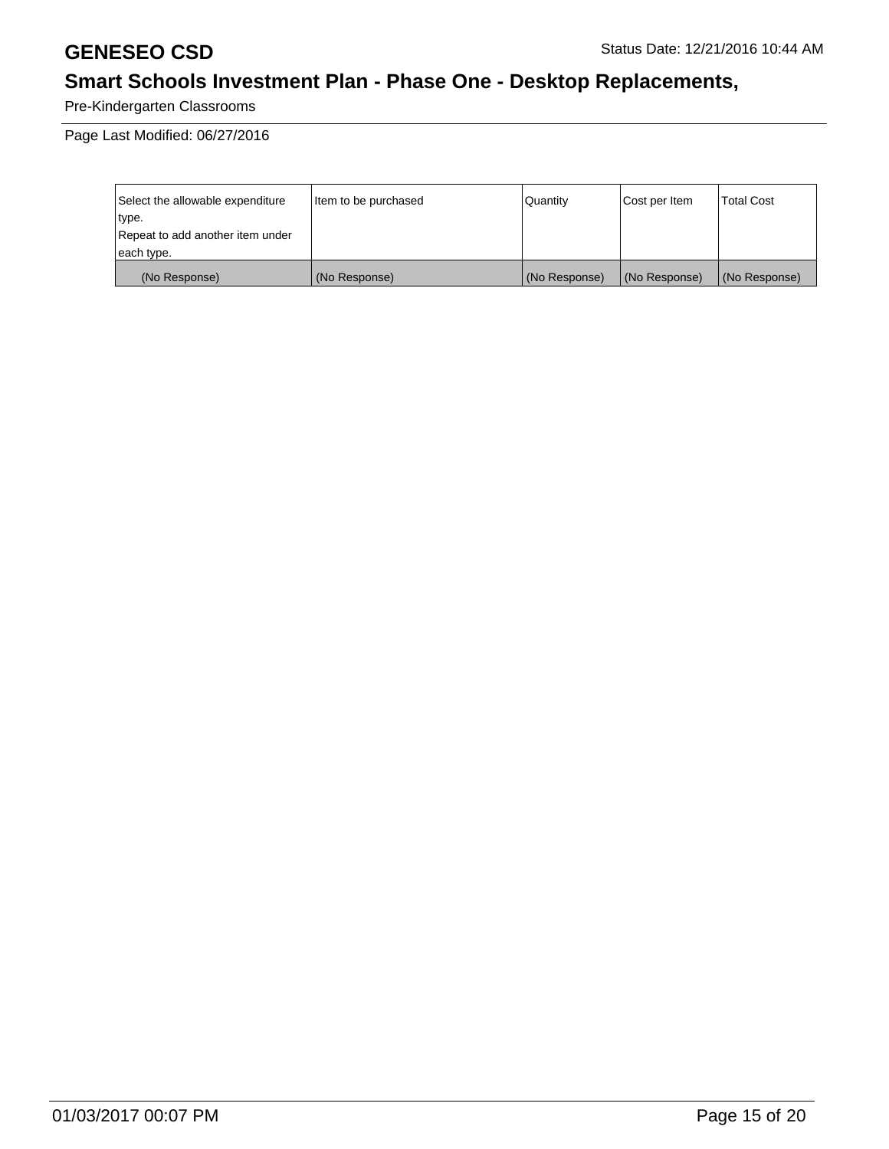Pre-Kindergarten Classrooms

Page Last Modified: 06/27/2016

| Select the allowable expenditure | litem to be purchased | Quantity      | Cost per Item | <b>Total Cost</b> |
|----------------------------------|-----------------------|---------------|---------------|-------------------|
| type.                            |                       |               |               |                   |
| Repeat to add another item under |                       |               |               |                   |
| each type.                       |                       |               |               |                   |
| (No Response)                    | (No Response)         | (No Response) | (No Response) | (No Response)     |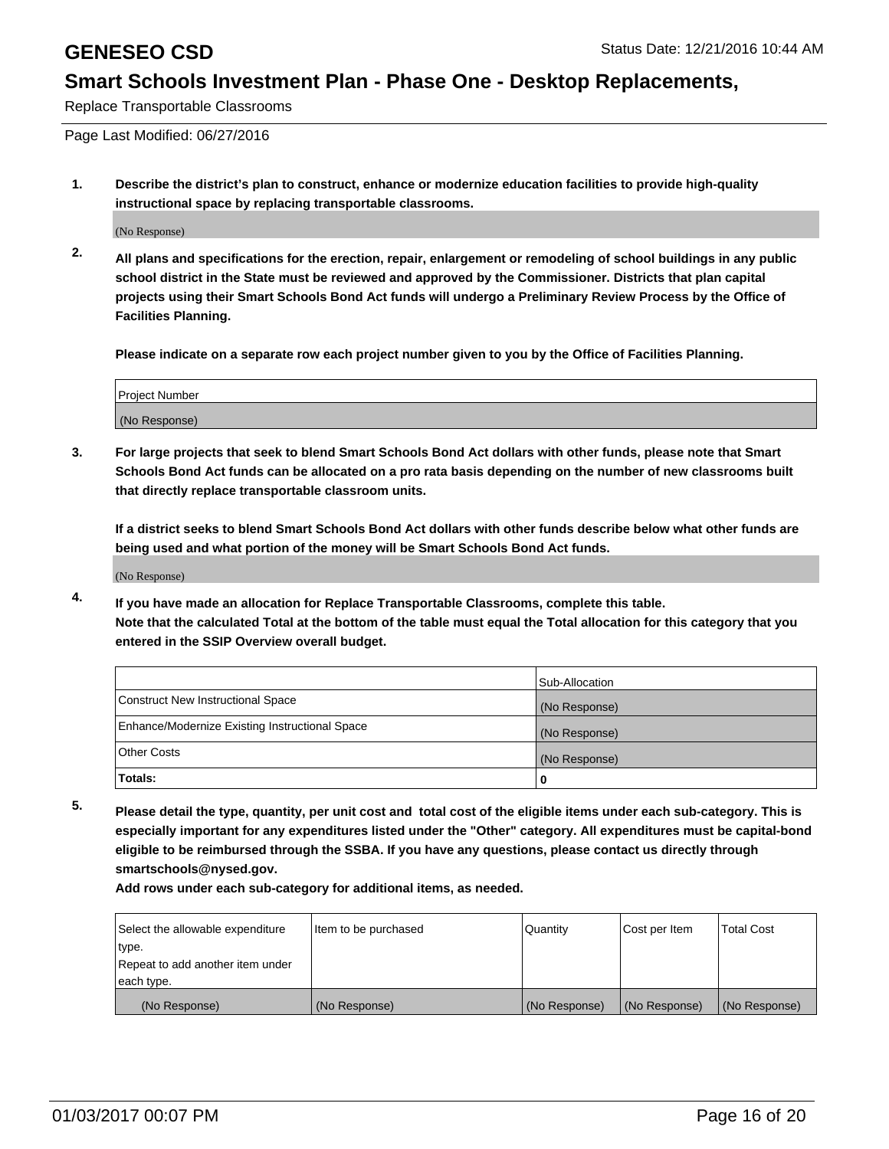Replace Transportable Classrooms

Page Last Modified: 06/27/2016

**1. Describe the district's plan to construct, enhance or modernize education facilities to provide high-quality instructional space by replacing transportable classrooms.**

(No Response)

**2. All plans and specifications for the erection, repair, enlargement or remodeling of school buildings in any public school district in the State must be reviewed and approved by the Commissioner. Districts that plan capital projects using their Smart Schools Bond Act funds will undergo a Preliminary Review Process by the Office of Facilities Planning.**

**Please indicate on a separate row each project number given to you by the Office of Facilities Planning.**

| <b>Project Number</b> |  |
|-----------------------|--|
| (No Response)         |  |

**3. For large projects that seek to blend Smart Schools Bond Act dollars with other funds, please note that Smart Schools Bond Act funds can be allocated on a pro rata basis depending on the number of new classrooms built that directly replace transportable classroom units.**

**If a district seeks to blend Smart Schools Bond Act dollars with other funds describe below what other funds are being used and what portion of the money will be Smart Schools Bond Act funds.**

(No Response)

**4. If you have made an allocation for Replace Transportable Classrooms, complete this table. Note that the calculated Total at the bottom of the table must equal the Total allocation for this category that you entered in the SSIP Overview overall budget.**

|                                                | Sub-Allocation |
|------------------------------------------------|----------------|
| Construct New Instructional Space              | (No Response)  |
| Enhance/Modernize Existing Instructional Space | (No Response)  |
| <b>Other Costs</b>                             | (No Response)  |
| Totals:                                        |                |

**5. Please detail the type, quantity, per unit cost and total cost of the eligible items under each sub-category. This is especially important for any expenditures listed under the "Other" category. All expenditures must be capital-bond eligible to be reimbursed through the SSBA. If you have any questions, please contact us directly through smartschools@nysed.gov.**

| Select the allowable expenditure | Item to be purchased | Quantity      | Cost per Item | <b>Total Cost</b> |
|----------------------------------|----------------------|---------------|---------------|-------------------|
| type.                            |                      |               |               |                   |
| Repeat to add another item under |                      |               |               |                   |
| each type.                       |                      |               |               |                   |
| (No Response)                    | (No Response)        | (No Response) | (No Response) | (No Response)     |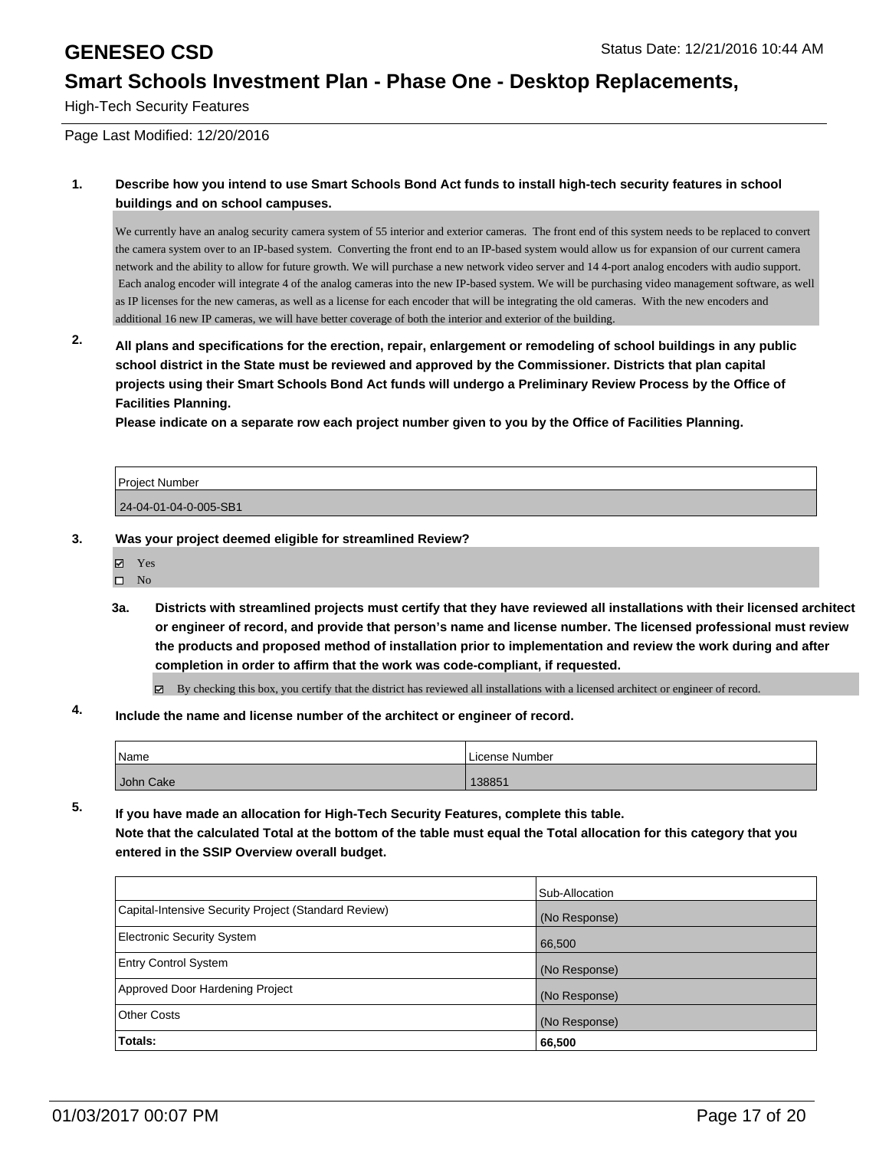High-Tech Security Features

Page Last Modified: 12/20/2016

### **1. Describe how you intend to use Smart Schools Bond Act funds to install high-tech security features in school buildings and on school campuses.**

We currently have an analog security camera system of 55 interior and exterior cameras. The front end of this system needs to be replaced to convert the camera system over to an IP-based system. Converting the front end to an IP-based system would allow us for expansion of our current camera network and the ability to allow for future growth. We will purchase a new network video server and 14 4-port analog encoders with audio support. Each analog encoder will integrate 4 of the analog cameras into the new IP-based system. We will be purchasing video management software, as well as IP licenses for the new cameras, as well as a license for each encoder that will be integrating the old cameras. With the new encoders and additional 16 new IP cameras, we will have better coverage of both the interior and exterior of the building.

**2. All plans and specifications for the erection, repair, enlargement or remodeling of school buildings in any public school district in the State must be reviewed and approved by the Commissioner. Districts that plan capital projects using their Smart Schools Bond Act funds will undergo a Preliminary Review Process by the Office of Facilities Planning.** 

**Please indicate on a separate row each project number given to you by the Office of Facilities Planning.**

| <b>Project Number</b> |  |
|-----------------------|--|
| 24-04-01-04-0-005-SB1 |  |

### **3. Was your project deemed eligible for streamlined Review?**

Yes

 $\square$  No

**3a. Districts with streamlined projects must certify that they have reviewed all installations with their licensed architect or engineer of record, and provide that person's name and license number. The licensed professional must review the products and proposed method of installation prior to implementation and review the work during and after completion in order to affirm that the work was code-compliant, if requested.**

 $\boxtimes$  By checking this box, you certify that the district has reviewed all installations with a licensed architect or engineer of record.

**4. Include the name and license number of the architect or engineer of record.**

| Name      | License Number |
|-----------|----------------|
| John Cake | 138851         |

**5. If you have made an allocation for High-Tech Security Features, complete this table.**

**Note that the calculated Total at the bottom of the table must equal the Total allocation for this category that you entered in the SSIP Overview overall budget.**

|                                                      | Sub-Allocation |
|------------------------------------------------------|----------------|
| Capital-Intensive Security Project (Standard Review) | (No Response)  |
| <b>Electronic Security System</b>                    | 66,500         |
| <b>Entry Control System</b>                          | (No Response)  |
| Approved Door Hardening Project                      | (No Response)  |
| <b>Other Costs</b>                                   | (No Response)  |
| Totals:                                              | 66,500         |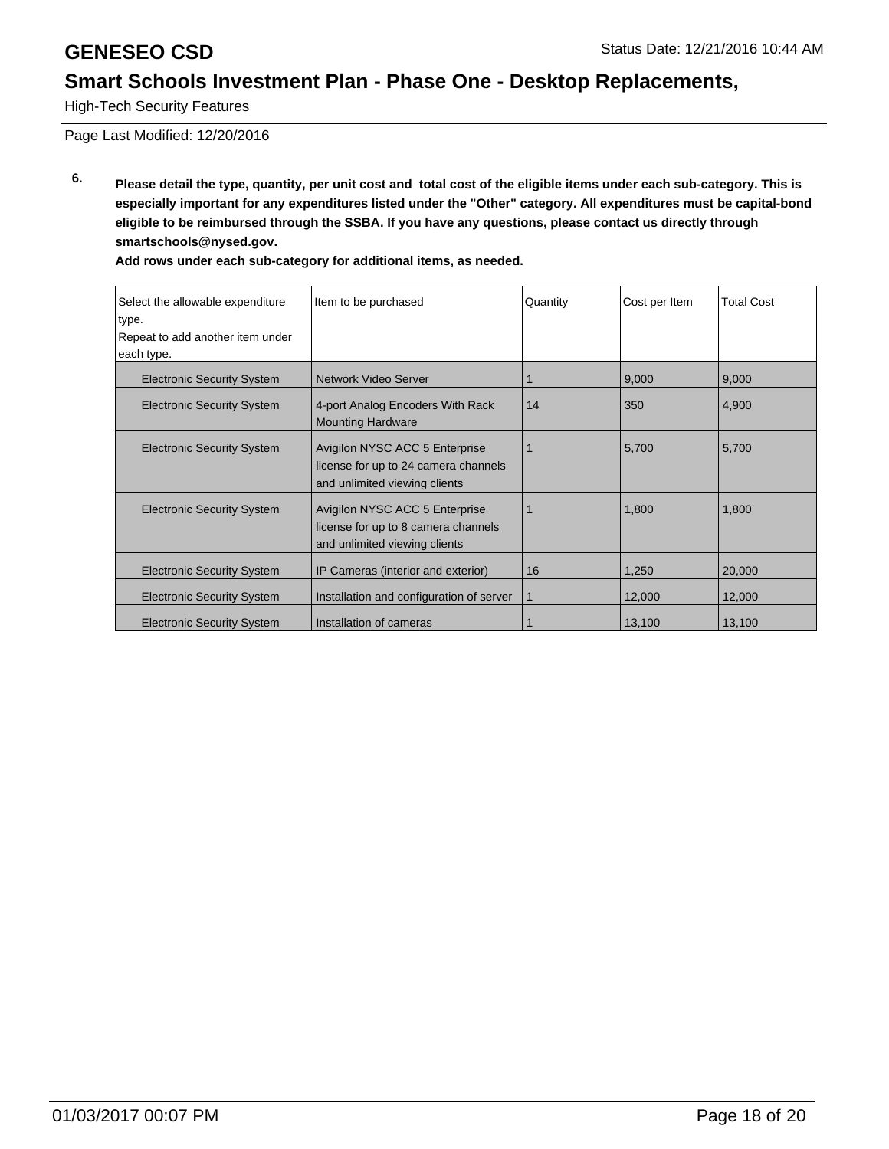High-Tech Security Features

Page Last Modified: 12/20/2016

**6. Please detail the type, quantity, per unit cost and total cost of the eligible items under each sub-category. This is especially important for any expenditures listed under the "Other" category. All expenditures must be capital-bond eligible to be reimbursed through the SSBA. If you have any questions, please contact us directly through smartschools@nysed.gov.**

| Select the allowable expenditure  | Item to be purchased                     | Quantity | Cost per Item | <b>Total Cost</b> |
|-----------------------------------|------------------------------------------|----------|---------------|-------------------|
| type.                             |                                          |          |               |                   |
| Repeat to add another item under  |                                          |          |               |                   |
| each type.                        |                                          |          |               |                   |
| <b>Electronic Security System</b> | Network Video Server                     |          | 9,000         | 9,000             |
| <b>Electronic Security System</b> | 4-port Analog Encoders With Rack         | 14       | 350           | 4,900             |
|                                   | <b>Mounting Hardware</b>                 |          |               |                   |
| <b>Electronic Security System</b> | Avigilon NYSC ACC 5 Enterprise           |          | 5,700         | 5,700             |
|                                   | license for up to 24 camera channels     |          |               |                   |
|                                   | and unlimited viewing clients            |          |               |                   |
| <b>Electronic Security System</b> | Avigilon NYSC ACC 5 Enterprise           |          | 1,800         | 1,800             |
|                                   | license for up to 8 camera channels      |          |               |                   |
|                                   | and unlimited viewing clients            |          |               |                   |
|                                   |                                          |          |               |                   |
| <b>Electronic Security System</b> | IP Cameras (interior and exterior)       | 16       | 1,250         | 20,000            |
| <b>Electronic Security System</b> | Installation and configuration of server |          | 12,000        | 12,000            |
| <b>Electronic Security System</b> | Installation of cameras                  |          | 13,100        | 13,100            |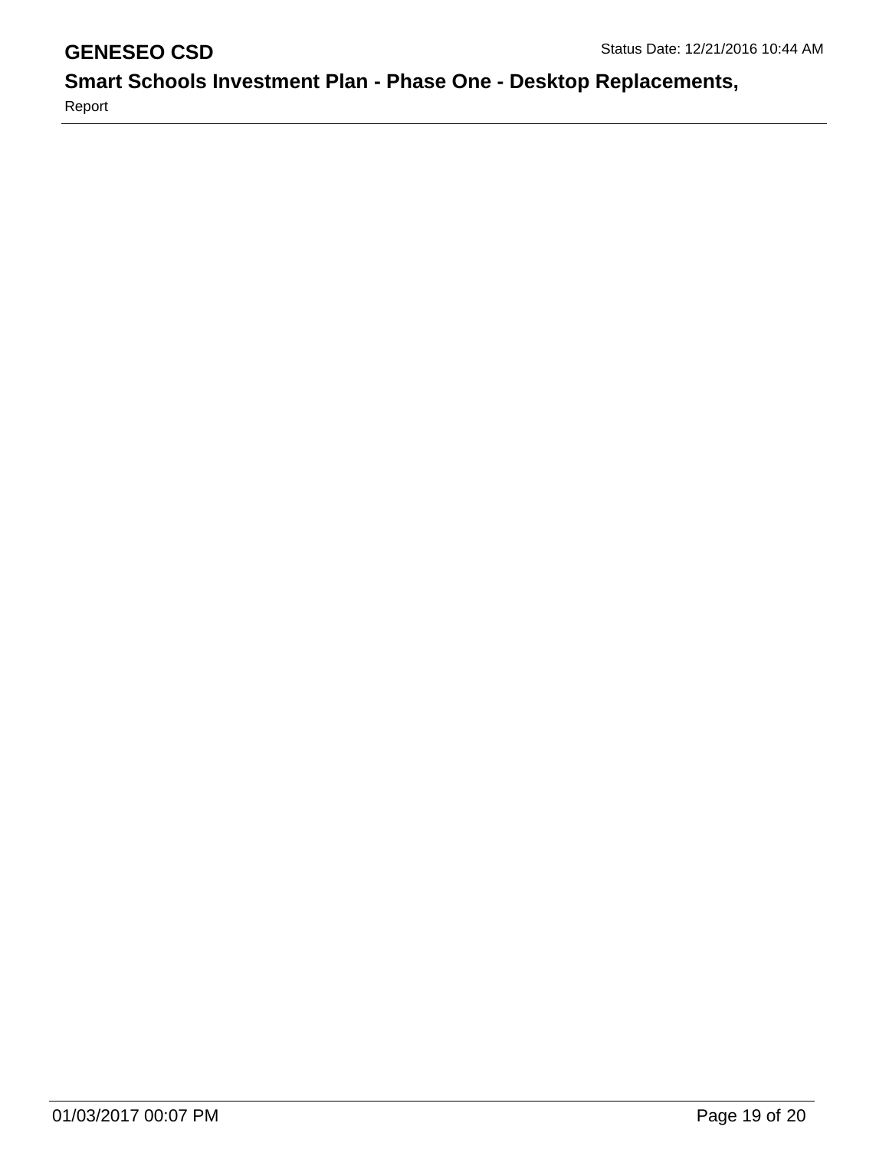Report